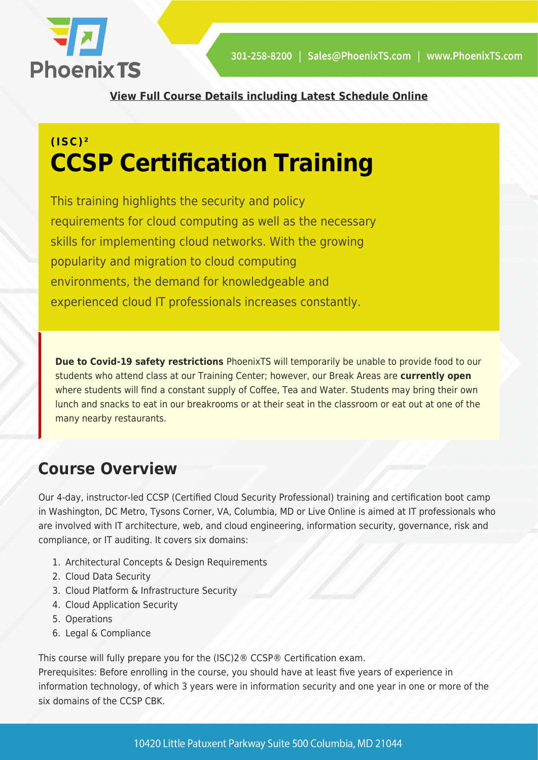

**[View Full Course Details including Latest Schedule Online](https://phoenixts.com/training-courses/ccsp-certified-cloud-security-professional/)**

# **(ISC)² CCSP Certification Training**

This training highlights the security and policy requirements for cloud computing as well as the necessary skills for implementing cloud networks. With the growing popularity and migration to cloud computing environments, the demand for knowledgeable and experienced cloud IT professionals increases constantly.

**Due to Covid-19 safety restrictions** PhoenixTS will temporarily be unable to provide food to our students who attend class at our Training Center; however, our Break Areas are **currently open** where students will find a constant supply of Coffee, Tea and Water. Students may bring their own lunch and snacks to eat in our breakrooms or at their seat in the classroom or eat out at one of the many nearby restaurants.

## **Course Overview**

Our 4-day, instructor-led CCSP (Certified Cloud Security Professional) training and certification boot camp in Washington, DC Metro, Tysons Corner, VA, Columbia, MD or Live Online is aimed at IT professionals who are involved with IT architecture, web, and cloud engineering, information security, governance, risk and compliance, or IT auditing. It covers six domains:

- 1. Architectural Concepts & Design Requirements
- 2. Cloud Data Security
- 3. Cloud Platform & Infrastructure Security
- 4. Cloud Application Security
- 5. Operations
- 6. Legal & Compliance

This course will fully prepare you for the (ISC)2® CCSP® Certification exam.

Prerequisites: Before enrolling in the course, you should have at least five years of experience in information technology, of which 3 years were in information security and one year in one or more of the six domains of the CCSP CBK.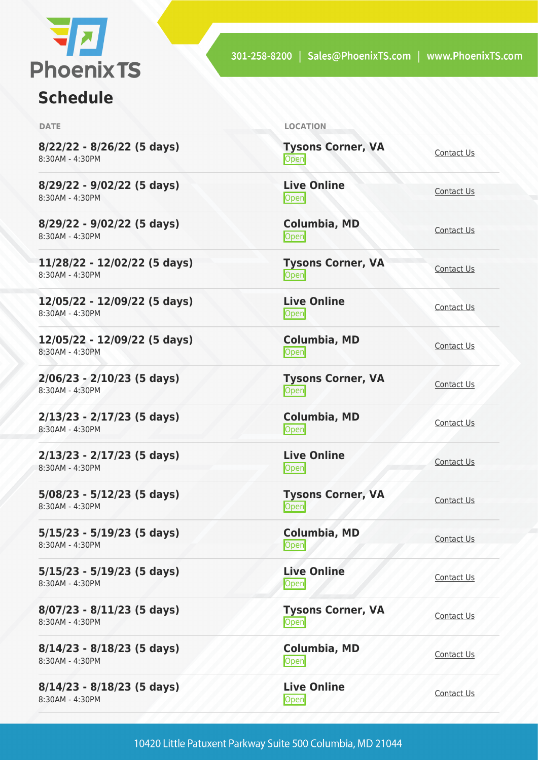

# **Schedule**

| <b>DATE</b>                                     | <b>LOCATION</b>                   |                   |
|-------------------------------------------------|-----------------------------------|-------------------|
| 8/22/22 - 8/26/22 (5 days)<br>8:30AM - 4:30PM   | <b>Tysons Corner, VA</b><br>Open  | Contact Us        |
| 8/29/22 - 9/02/22 (5 days)<br>8:30AM - 4:30PM   | <b>Live Online</b><br><b>Open</b> | Contact Us        |
| 8/29/22 - 9/02/22 (5 days)<br>8:30AM - 4:30PM   | <b>Columbia, MD</b><br>Open       | Contact Us        |
| 11/28/22 - 12/02/22 (5 days)<br>8:30AM - 4:30PM | <b>Tysons Corner, VA</b><br>Open  | Contact Us        |
| 12/05/22 - 12/09/22 (5 days)<br>8:30AM - 4:30PM | <b>Live Online</b><br>Open        | Contact Us        |
| 12/05/22 - 12/09/22 (5 days)<br>8:30AM - 4:30PM | Columbia, MD<br>Open              | Contact Us        |
| $2/06/23 - 2/10/23$ (5 days)<br>8:30AM - 4:30PM | <b>Tysons Corner, VA</b><br>Open  | Contact Us        |
| 2/13/23 - 2/17/23 (5 days)<br>8:30AM - 4:30PM   | Columbia, MD<br><b>Open</b>       | Contact Us        |
| 2/13/23 - 2/17/23 (5 days)<br>8:30AM - 4:30PM   | <b>Live Online</b><br>Open        | Contact Us        |
| 5/08/23 - 5/12/23 (5 days)<br>8:30AM - 4:30PM   | <b>Tysons Corner, VA</b><br>Open  | Contact Us        |
| 5/15/23 - 5/19/23 (5 days)<br>8:30AM - 4:30PM   | Columbia, MD<br>Open              | Contact Us        |
| 5/15/23 - 5/19/23 (5 days)<br>8:30AM - 4:30PM   | <b>Live Online</b><br><b>Open</b> | Contact Us        |
| 8/07/23 - 8/11/23 (5 days)<br>8:30AM - 4:30PM   | <b>Tysons Corner, VA</b><br>Open  | Contact Us        |
| 8/14/23 - 8/18/23 (5 days)<br>8:30AM - 4:30PM   | Columbia, MD<br>Open              | Contact Us        |
| 8/14/23 - 8/18/23 (5 days)<br>8:30AM - 4:30PM   | <b>Live Online</b><br>Open        | <b>Contact Us</b> |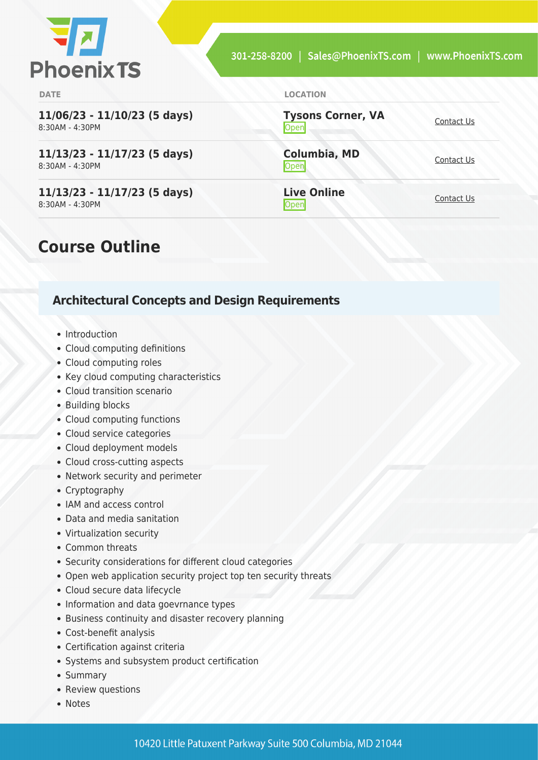

**11/06/23 - 11/10/23 (5 days)** 8:30AM - 4:30PM

**11/13/23 - 11/17/23 (5 days)** 8:30AM - 4:30PM

**11/13/23 - 11/17/23 (5 days)** 8:30AM - 4:30PM

#### **DATE LOCATION**

**Tysons Corner, VA Open** [Contact Us](https://phoenixts.com/schedule/more-info/?class=28323)

**Columbia, MD** [Contact Us](https://phoenixts.com/schedule/more-info/?class=28327)<br>Open

**Live Online** <u>[Contact Us](https://phoenixts.com/schedule/more-info/?class=28331)</u>

### **Course Outline**

### **Architectural Concepts and Design Requirements**

- Introduction
- Cloud computing definitions
- Cloud computing roles
- Key cloud computing characteristics
- Cloud transition scenario
- Building blocks
- Cloud computing functions
- Cloud service categories
- Cloud deployment models
- Cloud cross-cutting aspects
- Network security and perimeter
- Cryptography
- IAM and access control
- Data and media sanitation
- Virtualization security
- Common threats
- Security considerations for different cloud categories
- Open web application security project top ten security threats
- Cloud secure data lifecycle
- Information and data goevrnance types
- Business continuity and disaster recovery planning
- Cost-benefit analysis
- Certification against criteria
- Systems and subsystem product certification
- Summary
- Review questions
- Notes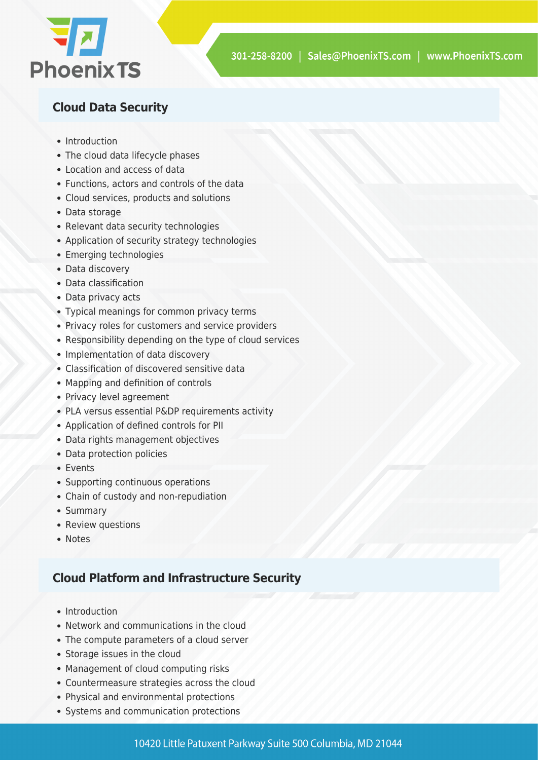

### **Cloud Data Security**

- Introduction
- The cloud data lifecycle phases
- Location and access of data
- Functions, actors and controls of the data
- Cloud services, products and solutions
- Data storage
- Relevant data security technologies
- Application of security strategy technologies
- Emerging technologies
- Data discovery
- Data classification
- Data privacy acts
- Typical meanings for common privacy terms
- Privacy roles for customers and service providers
- Responsibility depending on the type of cloud services
- Implementation of data discovery
- Classification of discovered sensitive data
- Mapping and definition of controls
- Privacy level agreement
- PLA versus essential P&DP requirements activity
- Application of defined controls for PII
- Data rights management objectives
- Data protection policies
- Events
- Supporting continuous operations
- Chain of custody and non-repudiation
- Summary
- Review questions
- Notes

### **Cloud Platform and Infrastructure Security**

- Introduction
- Network and communications in the cloud
- The compute parameters of a cloud server
- Storage issues in the cloud
- Management of cloud computing risks
- Countermeasure strategies across the cloud
- Physical and environmental protections
- Systems and communication protections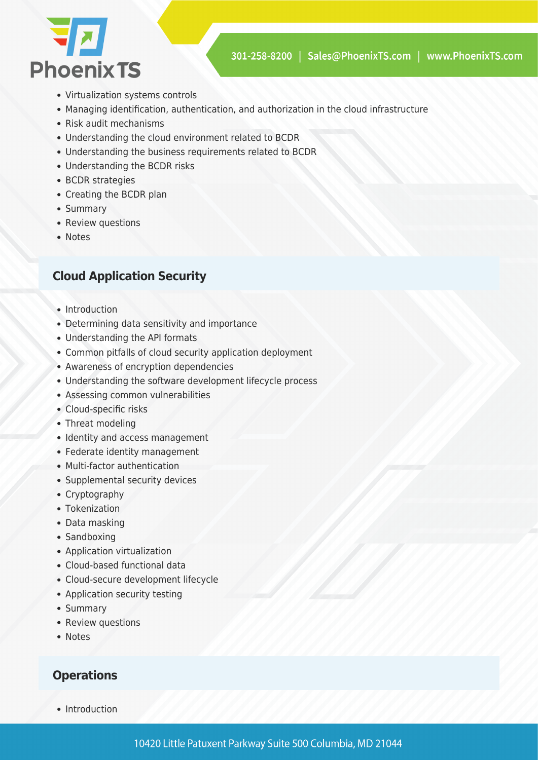

- Virtualization systems controls
- Managing identification, authentication, and authorization in the cloud infrastructure
- Risk audit mechanisms
- Understanding the cloud environment related to BCDR
- Understanding the business requirements related to BCDR
- Understanding the BCDR risks
- BCDR strategies
- Creating the BCDR plan
- Summary
- Review questions
- Notes

#### **Cloud Application Security**

- Introduction
- Determining data sensitivity and importance
- Understanding the API formats
- Common pitfalls of cloud security application deployment
- Awareness of encryption dependencies
- Understanding the software development lifecycle process
- Assessing common vulnerabilities
- Cloud-specific risks
- Threat modeling
- Identity and access management
- Federate identity management
- Multi-factor authentication
- Supplemental security devices
- Cryptography
- Tokenization
- Data masking
- Sandboxing
- Application virtualization
- Cloud-based functional data
- Cloud-secure development lifecycle
- Application security testing
- Summary
- Review questions
- Notes

#### **Operations**

• Introduction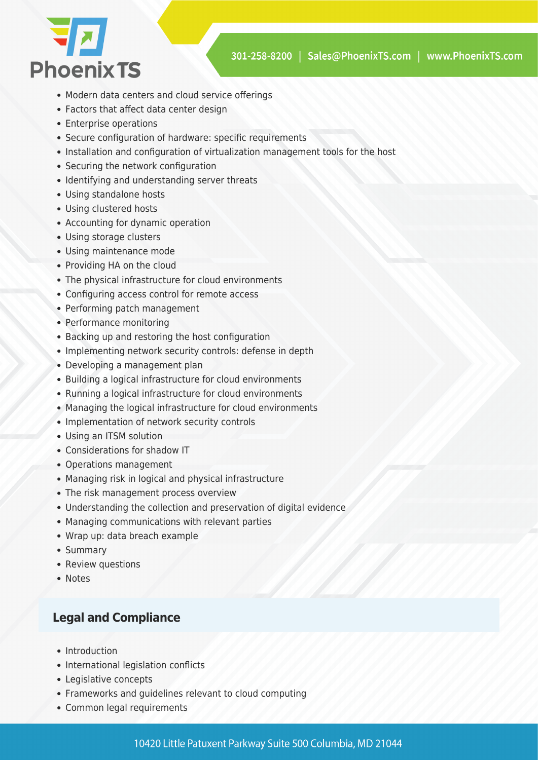

- Modern data centers and cloud service offerings
- Factors that affect data center design
- Enterprise operations
- Secure configuration of hardware: specific requirements
- Installation and configuration of virtualization management tools for the host
- Securing the network configuration
- Identifying and understanding server threats
- Using standalone hosts
- Using clustered hosts
- Accounting for dynamic operation
- Using storage clusters
- Using maintenance mode
- Providing HA on the cloud
- The physical infrastructure for cloud environments
- Configuring access control for remote access
- Performing patch management
- Performance monitoring
- Backing up and restoring the host configuration
- Implementing network security controls: defense in depth
- Developing a management plan
- Building a logical infrastructure for cloud environments
- Running a logical infrastructure for cloud environments
- Managing the logical infrastructure for cloud environments
- Implementation of network security controls
- Using an ITSM solution
- Considerations for shadow IT
- Operations management
- Managing risk in logical and physical infrastructure
- The risk management process overview
- Understanding the collection and preservation of digital evidence
- Managing communications with relevant parties
- Wrap up: data breach example
- Summary
- Review questions
- Notes

#### **Legal and Compliance**

- Introduction
- International legislation conflicts
- Legislative concepts
- Frameworks and guidelines relevant to cloud computing
- Common legal requirements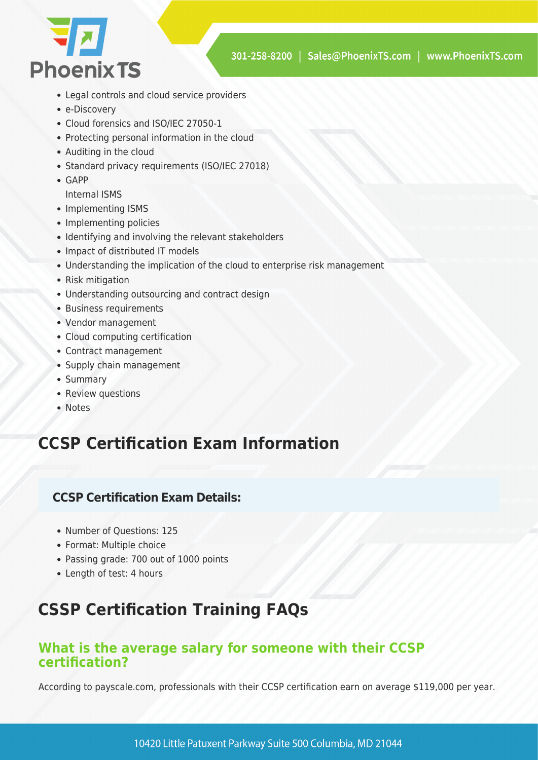

- Legal controls and cloud service providers
- e-Discovery
- Cloud forensics and ISO/IEC 27050-1
- Protecting personal information in the cloud
- Auditing in the cloud
- Standard privacy requirements (ISO/IEC 27018)
- GAPP

Internal ISMS

- Implementing ISMS
- Implementing policies
- Identifying and involving the relevant stakeholders
- Impact of distributed IT models
- Understanding the implication of the cloud to enterprise risk management
- Risk mitigation
- Understanding outsourcing and contract design
- Business requirements
- Vendor management
- Cloud computing certification
- Contract management
- Supply chain management
- Summary
- Review questions
- Notes

# **CCSP Certification Exam Information**

### **CCSP Certification Exam Details:**

- Number of Ouestions: 125
- Format: Multiple choice
- Passing grade: 700 out of 1000 points
- Length of test: 4 hours

# **CSSP Certification Training FAQs**

### **What is the average salary for someone with their CCSP certification?**

According to payscale.com, professionals with their CCSP certification earn on average \$119,000 per year.

10420 Little Patuxent Parkway Suite 500 Columbia, MD 21044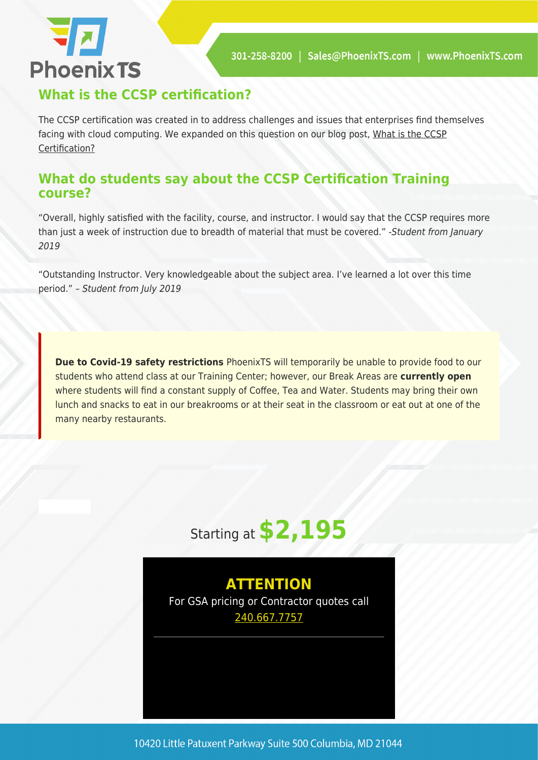# **74 Phoenix TS**

### **What is the CCSP certification?**

The CCSP certification was created in to address challenges and issues that enterprises find themselves facing with cloud computing. We expanded on this question on our blog post, [What is the CCSP](https://phoenixts.com/2018/01/23/what-is-ccsp-certification/) [Certification?](https://phoenixts.com/2018/01/23/what-is-ccsp-certification/)

### **What do students say about the CCSP Certification Training course?**

"Overall, highly satisfied with the facility, course, and instructor. I would say that the CCSP requires more than just a week of instruction due to breadth of material that must be covered." -Student from January 2019

"Outstanding Instructor. Very knowledgeable about the subject area. I've learned a lot over this time period." – Student from July 2019

**Due to Covid-19 safety restrictions** PhoenixTS will temporarily be unable to provide food to our students who attend class at our Training Center; however, our Break Areas are **currently open** where students will find a constant supply of Coffee, Tea and Water. Students may bring their own lunch and snacks to eat in our breakrooms or at their seat in the classroom or eat out at one of the many nearby restaurants.



### **ATTENTION** For GSA pricing or Contractor quotes call [240.667.7757](#page--1-0)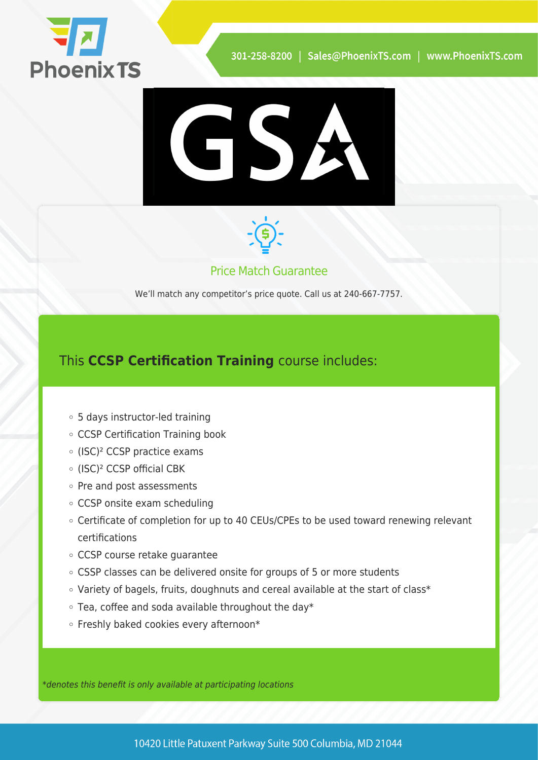





Price Match Guarantee

We'll match any competitor's price quote. Call us at 240-667-7757.

### This **CCSP Certification Training** course includes:

- 5 days instructor-led training
- CCSP Certification Training book
- (ISC)² CCSP practice exams
- (ISC)² CCSP official CBK
- $\circ$  Pre and post assessments
- CCSP onsite exam scheduling
- Certificate of completion for up to 40 CEUs/CPEs to be used toward renewing relevant certifications
- CCSP course retake guarantee
- CSSP classes can be delivered onsite for groups of 5 or more students
- Variety of bagels, fruits, doughnuts and cereal available at the start of class\*
- $\circ$  Tea, coffee and soda available throughout the day\*
- o Freshly baked cookies every afternoon\*

\*denotes this benefit is only available at participating locations